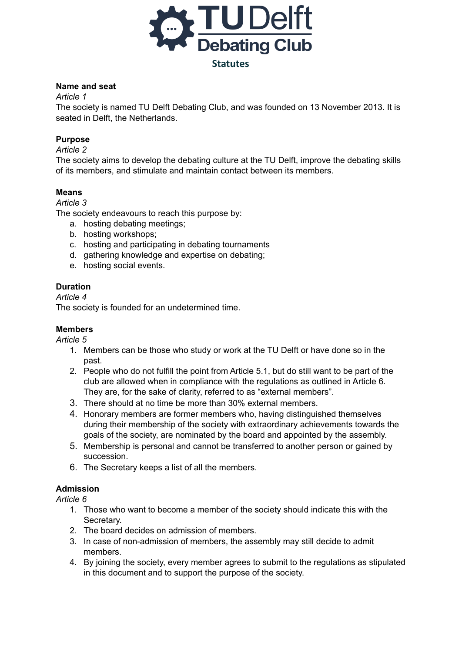

### **Name and seat**

*Article 1*

The society is named TU Delft Debating Club, and was founded on 13 November 2013. It is seated in Delft, the Netherlands.

## **Purpose**

#### *Article 2*

The society aims to develop the debating culture at the TU Delft, improve the debating skills of its members, and stimulate and maintain contact between its members.

### **Means**

#### *Article 3*

The society endeavours to reach this purpose by:

- a. hosting debating meetings;
- b. hosting workshops;
- c. hosting and participating in debating tournaments
- d. gathering knowledge and expertise on debating;
- e. hosting social events.

#### **Duration**

#### *Article 4*

The society is founded for an undetermined time.

### **Members**

*Article 5*

- 1. Members can be those who study or work at the TU Delft or have done so in the past.
- 2. People who do not fulfill the point from Article 5.1, but do still want to be part of the club are allowed when in compliance with the regulations as outlined in Article 6. They are, for the sake of clarity, referred to as "external members".
- 3. There should at no time be more than 30% external members.
- 4. Honorary members are former members who, having distinguished themselves during their membership of the society with extraordinary achievements towards the goals of the society, are nominated by the board and appointed by the assembly.
- 5. Membership is personal and cannot be transferred to another person or gained by succession.
- 6. The Secretary keeps a list of all the members.

#### **Admission**

- 1. Those who want to become a member of the society should indicate this with the Secretary.
- 2. The board decides on admission of members.
- 3. In case of non-admission of members, the assembly may still decide to admit members.
- 4. By joining the society, every member agrees to submit to the regulations as stipulated in this document and to support the purpose of the society.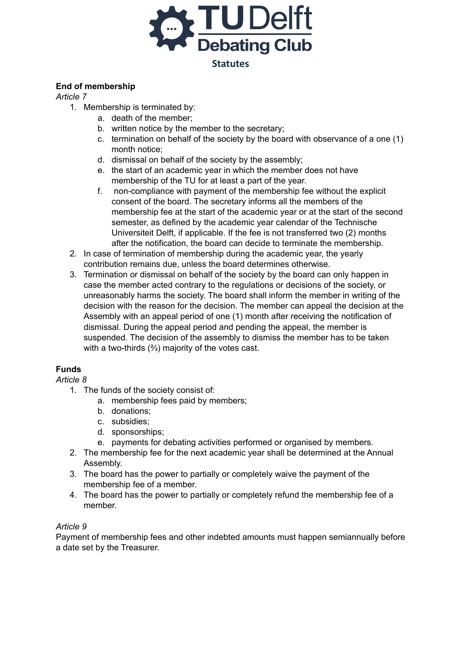

## **End of membership**

*Article 7*

- 1. Membership is terminated by:
	- a. death of the member;
	- b. written notice by the member to the secretary;
	- c. termination on behalf of the society by the board with observance of a one (1) month notice;
	- d. dismissal on behalf of the society by the assembly;
	- e. the start of an academic year in which the member does not have membership of the TU for at least a part of the year.
	- f. non-compliance with payment of the membership fee without the explicit consent of the board. The secretary informs all the members of the membership fee at the start of the academic year or at the start of the second semester, as defined by the academic year calendar of the Technische Universiteit Delft, if applicable. If the fee is not transferred two (2) months after the notification, the board can decide to terminate the membership.
- 2. In case of termination of membership during the academic year, the yearly contribution remains due, unless the board determines otherwise.
- 3. Termination or dismissal on behalf of the society by the board can only happen in case the member acted contrary to the regulations or decisions of the society, or unreasonably harms the society. The board shall inform the member in writing of the decision with the reason for the decision. The member can appeal the decision at the Assembly with an appeal period of one (1) month after receiving the notification of dismissal. During the appeal period and pending the appeal, the member is suspended. The decision of the assembly to dismiss the member has to be taken with a two-thirds (⅔) majority of the votes cast.

# **Funds**

*Article 8*

- 1. The funds of the society consist of:
	- a. membership fees paid by members;
	- b. donations;
	- c. subsidies;
	- d. sponsorships;
	- e. payments for debating activities performed or organised by members.
- 2. The membership fee for the next academic year shall be determined at the Annual Assembly.
- 3. The board has the power to partially or completely waive the payment of the membership fee of a member.
- 4. The board has the power to partially or completely refund the membership fee of a member.

#### *Article 9*

Payment of membership fees and other indebted amounts must happen semiannually before a date set by the Treasurer.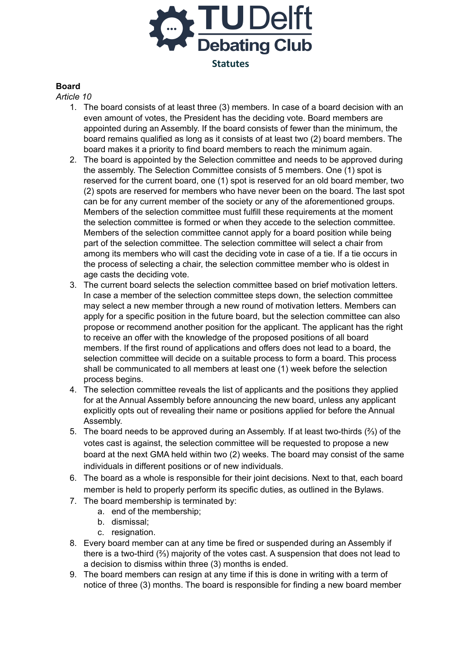

# **Board**

- 1. The board consists of at least three (3) members. In case of a board decision with an even amount of votes, the President has the deciding vote. Board members are appointed during an Assembly. If the board consists of fewer than the minimum, the board remains qualified as long as it consists of at least two (2) board members. The board makes it a priority to find board members to reach the minimum again.
- 2. The board is appointed by the Selection committee and needs to be approved during the assembly. The Selection Committee consists of 5 members. One (1) spot is reserved for the current board, one (1) spot is reserved for an old board member, two (2) spots are reserved for members who have never been on the board. The last spot can be for any current member of the society or any of the aforementioned groups. Members of the selection committee must fulfill these requirements at the moment the selection committee is formed or when they accede to the selection committee. Members of the selection committee cannot apply for a board position while being part of the selection committee. The selection committee will select a chair from among its members who will cast the deciding vote in case of a tie. If a tie occurs in the process of selecting a chair, the selection committee member who is oldest in age casts the deciding vote.
- 3. The current board selects the selection committee based on brief motivation letters. In case a member of the selection committee steps down, the selection committee may select a new member through a new round of motivation letters. Members can apply for a specific position in the future board, but the selection committee can also propose or recommend another position for the applicant. The applicant has the right to receive an offer with the knowledge of the proposed positions of all board members. If the first round of applications and offers does not lead to a board, the selection committee will decide on a suitable process to form a board. This process shall be communicated to all members at least one (1) week before the selection process begins.
- 4. The selection committee reveals the list of applicants and the positions they applied for at the Annual Assembly before announcing the new board, unless any applicant explicitly opts out of revealing their name or positions applied for before the Annual Assembly.
- 5. The board needs to be approved during an Assembly. If at least two-thirds (⅔) of the votes cast is against, the selection committee will be requested to propose a new board at the next GMA held within two (2) weeks. The board may consist of the same individuals in different positions or of new individuals.
- 6. The board as a whole is responsible for their joint decisions. Next to that, each board member is held to properly perform its specific duties, as outlined in the Bylaws.
- 7. The board membership is terminated by:
	- a. end of the membership;
	- b. dismissal;
	- c. resignation.
- 8. Every board member can at any time be fired or suspended during an Assembly if there is a two-third (⅔) majority of the votes cast. A suspension that does not lead to a decision to dismiss within three (3) months is ended.
- 9. The board members can resign at any time if this is done in writing with a term of notice of three (3) months. The board is responsible for finding a new board member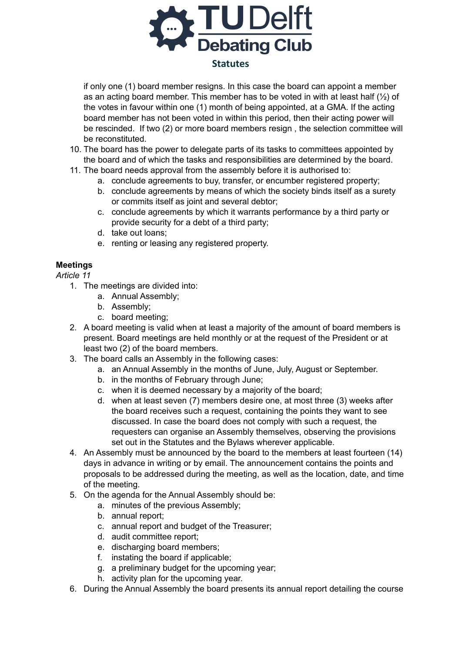

#### **Statutes**

if only one (1) board member resigns. In this case the board can appoint a member as an acting board member. This member has to be voted in with at least half (½) of the votes in favour within one (1) month of being appointed, at a GMA. If the acting board member has not been voted in within this period, then their acting power will be rescinded. If two (2) or more board members resign , the selection committee will be reconstituted.

- 10. The board has the power to delegate parts of its tasks to committees appointed by the board and of which the tasks and responsibilities are determined by the board.
- 11. The board needs approval from the assembly before it is authorised to:
	- a. conclude agreements to buy, transfer, or encumber registered property;
	- b. conclude agreements by means of which the society binds itself as a surety or commits itself as joint and several debtor;
	- c. conclude agreements by which it warrants performance by a third party or provide security for a debt of a third party;
	- d. take out loans;
	- e. renting or leasing any registered property.

### **Meetings**

- 1. The meetings are divided into:
	- a. Annual Assembly;
	- b. Assembly;
	- c. board meeting;
- 2. A board meeting is valid when at least a majority of the amount of board members is present. Board meetings are held monthly or at the request of the President or at least two (2) of the board members.
- 3. The board calls an Assembly in the following cases:
	- a. an Annual Assembly in the months of June, July, August or September.
	- b. in the months of February through June;
	- c. when it is deemed necessary by a majority of the board;
	- d. when at least seven (7) members desire one, at most three (3) weeks after the board receives such a request, containing the points they want to see discussed. In case the board does not comply with such a request, the requesters can organise an Assembly themselves, observing the provisions set out in the Statutes and the Bylaws wherever applicable.
- 4. An Assembly must be announced by the board to the members at least fourteen (14) days in advance in writing or by email. The announcement contains the points and proposals to be addressed during the meeting, as well as the location, date, and time of the meeting.
- 5. On the agenda for the Annual Assembly should be:
	- a. minutes of the previous Assembly;
	- b. annual report;
	- c. annual report and budget of the Treasurer;
	- d. audit committee report;
	- e. discharging board members;
	- f. instating the board if applicable;
	- g. a preliminary budget for the upcoming year;
	- h. activity plan for the upcoming year.
- 6. During the Annual Assembly the board presents its annual report detailing the course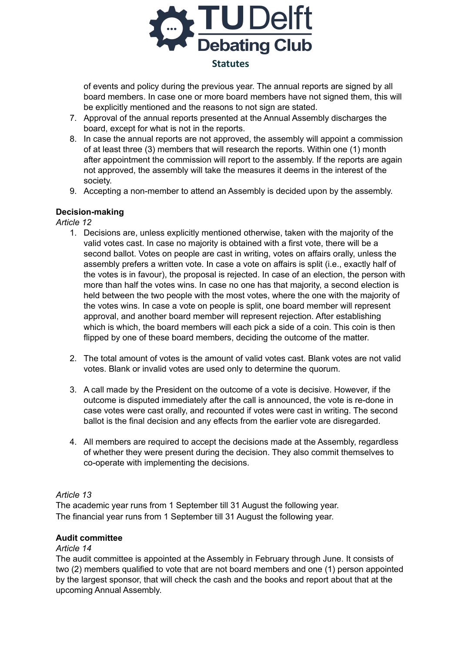

of events and policy during the previous year. The annual reports are signed by all board members. In case one or more board members have not signed them, this will be explicitly mentioned and the reasons to not sign are stated.

- 7. Approval of the annual reports presented at the Annual Assembly discharges the board, except for what is not in the reports.
- 8. In case the annual reports are not approved, the assembly will appoint a commission of at least three (3) members that will research the reports. Within one (1) month after appointment the commission will report to the assembly. If the reports are again not approved, the assembly will take the measures it deems in the interest of the society.
- 9. Accepting a non-member to attend an Assembly is decided upon by the assembly.

### **Decision-making**

*Article 12*

- 1. Decisions are, unless explicitly mentioned otherwise, taken with the majority of the valid votes cast. In case no majority is obtained with a first vote, there will be a second ballot. Votes on people are cast in writing, votes on affairs orally, unless the assembly prefers a written vote. In case a vote on affairs is split (i.e., exactly half of the votes is in favour), the proposal is rejected. In case of an election, the person with more than half the votes wins. In case no one has that majority, a second election is held between the two people with the most votes, where the one with the majority of the votes wins. In case a vote on people is split, one board member will represent approval, and another board member will represent rejection. After establishing which is which, the board members will each pick a side of a coin. This coin is then flipped by one of these board members, deciding the outcome of the matter.
- 2. The total amount of votes is the amount of valid votes cast. Blank votes are not valid votes. Blank or invalid votes are used only to determine the quorum.
- 3. A call made by the President on the outcome of a vote is decisive. However, if the outcome is disputed immediately after the call is announced, the vote is re-done in case votes were cast orally, and recounted if votes were cast in writing. The second ballot is the final decision and any effects from the earlier vote are disregarded.
- 4. All members are required to accept the decisions made at the Assembly, regardless of whether they were present during the decision. They also commit themselves to co-operate with implementing the decisions.

#### *Article 13*

The academic year runs from 1 September till 31 August the following year. The financial year runs from 1 September till 31 August the following year.

#### **Audit committee**

#### *Article 14*

The audit committee is appointed at the Assembly in February through June. It consists of two (2) members qualified to vote that are not board members and one (1) person appointed by the largest sponsor, that will check the cash and the books and report about that at the upcoming Annual Assembly.